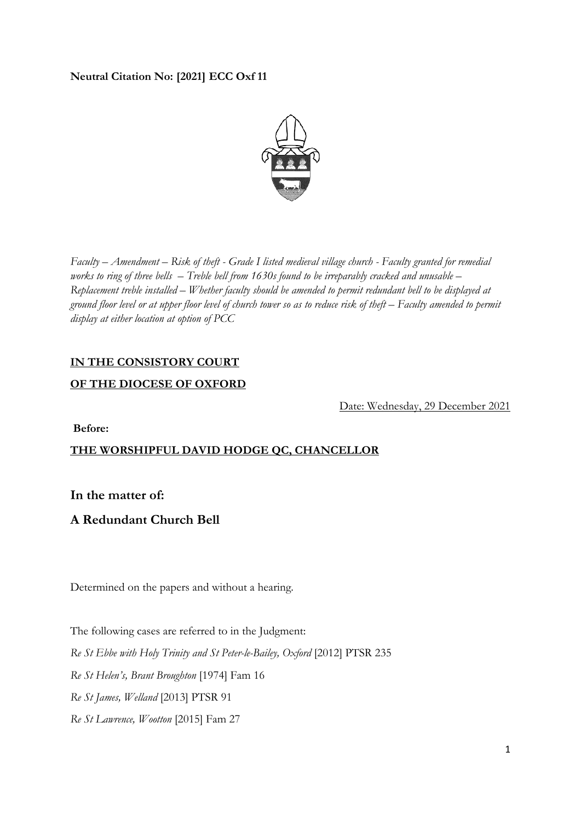## **Neutral Citation No: [2021] ECC Oxf 11**



*Faculty – Amendment – Risk of theft - Grade I listed medieval village church - Faculty granted for remedial works to ring of three bells – Treble bell from 1630s found to be irreparably cracked and unusable – Replacement treble installed – Whether faculty should be amended to permit redundant bell to be displayed at ground floor level or at upper floor level of church tower so as to reduce risk of theft – Faculty amended to permit display at either location at option of PCC* 

# **IN THE CONSISTORY COURT**

#### **OF THE DIOCESE OF OXFORD**

Date: Wednesday, 29 December 2021

**Before:**

# **THE WORSHIPFUL DAVID HODGE QC, CHANCELLOR**

**In the matter of:** 

# **A Redundant Church Bell**

Determined on the papers and without a hearing.

The following cases are referred to in the Judgment: *Re St Ebbe with Holy Trinity and St Peter-le-Bailey, Oxford* [2012] PTSR 235 *Re St Helen's, Brant Broughton* [1974] Fam 16 *Re St James, Welland* [2013] PTSR 91 *Re St Lawrence, Wootton* [2015] Fam 27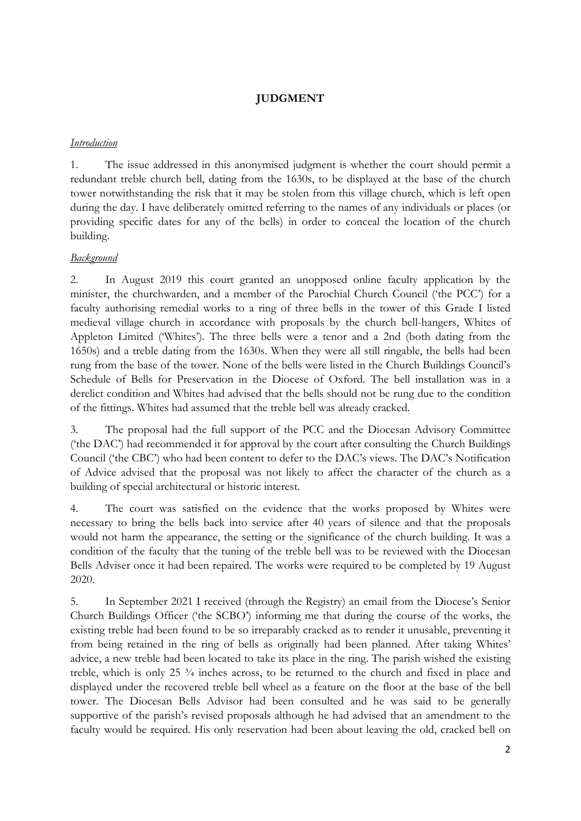# **JUDGMENT**

#### *Introduction*

1. The issue addressed in this anonymised judgment is whether the court should permit a redundant treble church bell, dating from the 1630s, to be displayed at the base of the church tower notwithstanding the risk that it may be stolen from this village church, which is left open during the day. I have deliberately omitted referring to the names of any individuals or places (or providing specific dates for any of the bells) in order to conceal the location of the church building.

## *Background*

2. In August 2019 this court granted an unopposed online faculty application by the minister, the churchwarden, and a member of the Parochial Church Council ('the PCC') for a faculty authorising remedial works to a ring of three bells in the tower of this Grade I listed medieval village church in accordance with proposals by the church bell-hangers, Whites of Appleton Limited ('Whites'). The three bells were a tenor and a 2nd (both dating from the 1650s) and a treble dating from the 1630s. When they were all still ringable, the bells had been rung from the base of the tower. None of the bells were listed in the Church Buildings Council's Schedule of Bells for Preservation in the Diocese of Oxford. The bell installation was in a derelict condition and Whites had advised that the bells should not be rung due to the condition of the fittings. Whites had assumed that the treble bell was already cracked.

3. The proposal had the full support of the PCC and the Diocesan Advisory Committee ('the DAC') had recommended it for approval by the court after consulting the Church Buildings Council ('the CBC') who had been content to defer to the DAC's views. The DAC's Notification of Advice advised that the proposal was not likely to affect the character of the church as a building of special architectural or historic interest.

4. The court was satisfied on the evidence that the works proposed by Whites were necessary to bring the bells back into service after 40 years of silence and that the proposals would not harm the appearance, the setting or the significance of the church building. It was a condition of the faculty that the tuning of the treble bell was to be reviewed with the Diocesan Bells Adviser once it had been repaired. The works were required to be completed by 19 August 2020.

5. In September 2021 I received (through the Registry) an email from the Diocese's Senior Church Buildings Officer ('the SCBO') informing me that during the course of the works, the existing treble had been found to be so irreparably cracked as to render it unusable, preventing it from being retained in the ring of bells as originally had been planned. After taking Whites' advice, a new treble had been located to take its place in the ring. The parish wished the existing treble, which is only 25 ¾ inches across, to be returned to the church and fixed in place and displayed under the recovered treble bell wheel as a feature on the floor at the base of the bell tower. The Diocesan Bells Advisor had been consulted and he was said to be generally supportive of the parish's revised proposals although he had advised that an amendment to the faculty would be required. His only reservation had been about leaving the old, cracked bell on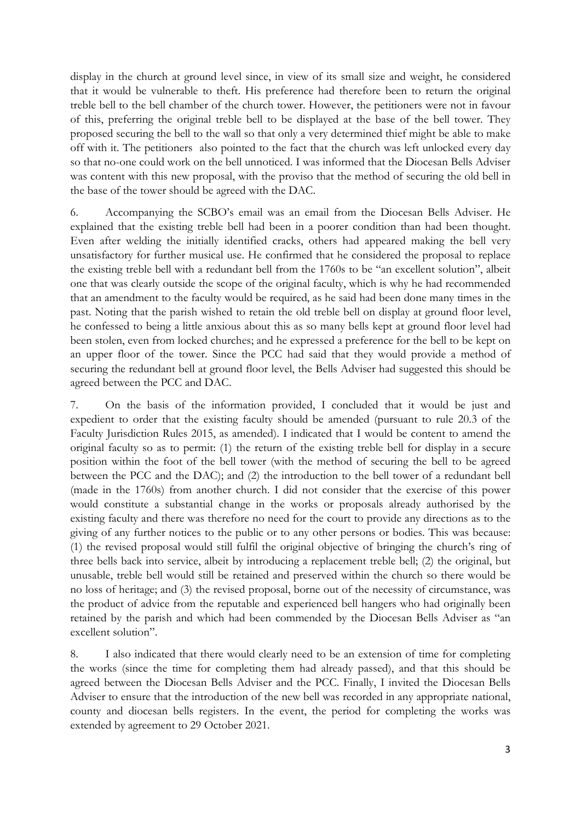display in the church at ground level since, in view of its small size and weight, he considered that it would be vulnerable to theft. His preference had therefore been to return the original treble bell to the bell chamber of the church tower. However, the petitioners were not in favour of this, preferring the original treble bell to be displayed at the base of the bell tower. They proposed securing the bell to the wall so that only a very determined thief might be able to make off with it. The petitioners also pointed to the fact that the church was left unlocked every day so that no-one could work on the bell unnoticed. I was informed that the Diocesan Bells Adviser was content with this new proposal, with the proviso that the method of securing the old bell in the base of the tower should be agreed with the DAC.

6. Accompanying the SCBO's email was an email from the Diocesan Bells Adviser. He explained that the existing treble bell had been in a poorer condition than had been thought. Even after welding the initially identified cracks, others had appeared making the bell very unsatisfactory for further musical use. He confirmed that he considered the proposal to replace the existing treble bell with a redundant bell from the 1760s to be "an excellent solution", albeit one that was clearly outside the scope of the original faculty, which is why he had recommended that an amendment to the faculty would be required, as he said had been done many times in the past. Noting that the parish wished to retain the old treble bell on display at ground floor level, he confessed to being a little anxious about this as so many bells kept at ground floor level had been stolen, even from locked churches; and he expressed a preference for the bell to be kept on an upper floor of the tower. Since the PCC had said that they would provide a method of securing the redundant bell at ground floor level, the Bells Adviser had suggested this should be agreed between the PCC and DAC.

7. On the basis of the information provided, I concluded that it would be just and expedient to order that the existing faculty should be amended (pursuant to rule 20.3 of the Faculty Jurisdiction Rules 2015, as amended). I indicated that I would be content to amend the original faculty so as to permit: (1) the return of the existing treble bell for display in a secure position within the foot of the bell tower (with the method of securing the bell to be agreed between the PCC and the DAC); and (2) the introduction to the bell tower of a redundant bell (made in the 1760s) from another church. I did not consider that the exercise of this power would constitute a substantial change in the works or proposals already authorised by the existing faculty and there was therefore no need for the court to provide any directions as to the giving of any further notices to the public or to any other persons or bodies. This was because: (1) the revised proposal would still fulfil the original objective of bringing the church's ring of three bells back into service, albeit by introducing a replacement treble bell; (2) the original, but unusable, treble bell would still be retained and preserved within the church so there would be no loss of heritage; and (3) the revised proposal, borne out of the necessity of circumstance, was the product of advice from the reputable and experienced bell hangers who had originally been retained by the parish and which had been commended by the Diocesan Bells Adviser as "an excellent solution".

8. I also indicated that there would clearly need to be an extension of time for completing the works (since the time for completing them had already passed), and that this should be agreed between the Diocesan Bells Adviser and the PCC. Finally, I invited the Diocesan Bells Adviser to ensure that the introduction of the new bell was recorded in any appropriate national, county and diocesan bells registers. In the event, the period for completing the works was extended by agreement to 29 October 2021.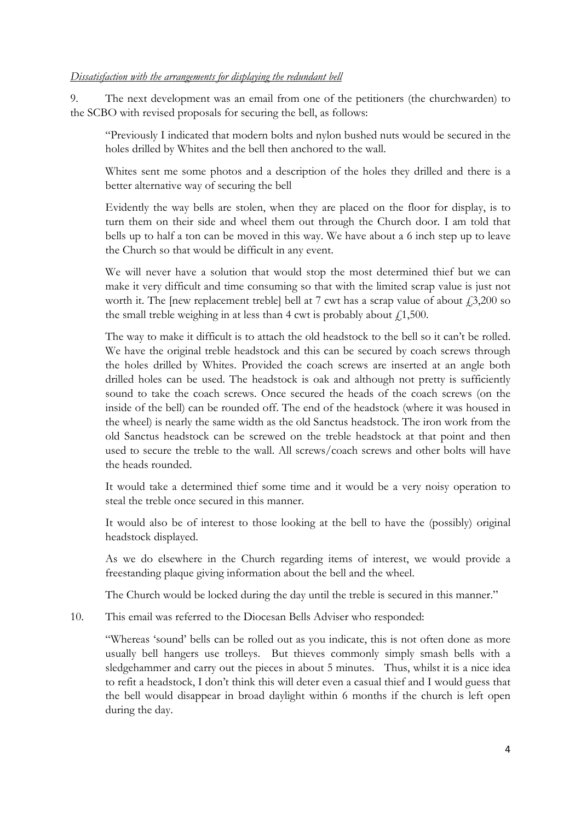#### *Dissatisfaction with the arrangements for displaying the redundant bell*

9. The next development was an email from one of the petitioners (the churchwarden) to the SCBO with revised proposals for securing the bell, as follows:

"Previously I indicated that modern bolts and nylon bushed nuts would be secured in the holes drilled by Whites and the bell then anchored to the wall.

Whites sent me some photos and a description of the holes they drilled and there is a better alternative way of securing the bell

Evidently the way bells are stolen, when they are placed on the floor for display, is to turn them on their side and wheel them out through the Church door. I am told that bells up to half a ton can be moved in this way. We have about a 6 inch step up to leave the Church so that would be difficult in any event.

We will never have a solution that would stop the most determined thief but we can make it very difficult and time consuming so that with the limited scrap value is just not worth it. The [new replacement treble] bell at 7 cwt has a scrap value of about  $\dot{f}$ , 3,200 so the small treble weighing in at less than 4 cwt is probably about  $f(1,500)$ .

The way to make it difficult is to attach the old headstock to the bell so it can't be rolled. We have the original treble headstock and this can be secured by coach screws through the holes drilled by Whites. Provided the coach screws are inserted at an angle both drilled holes can be used. The headstock is oak and although not pretty is sufficiently sound to take the coach screws. Once secured the heads of the coach screws (on the inside of the bell) can be rounded off. The end of the headstock (where it was housed in the wheel) is nearly the same width as the old Sanctus headstock. The iron work from the old Sanctus headstock can be screwed on the treble headstock at that point and then used to secure the treble to the wall. All screws/coach screws and other bolts will have the heads rounded.

It would take a determined thief some time and it would be a very noisy operation to steal the treble once secured in this manner.

It would also be of interest to those looking at the bell to have the (possibly) original headstock displayed.

As we do elsewhere in the Church regarding items of interest, we would provide a freestanding plaque giving information about the bell and the wheel.

The Church would be locked during the day until the treble is secured in this manner."

10. This email was referred to the Diocesan Bells Adviser who responded:

"Whereas 'sound' bells can be rolled out as you indicate, this is not often done as more usually bell hangers use trolleys. But thieves commonly simply smash bells with a sledgehammer and carry out the pieces in about 5 minutes. Thus, whilst it is a nice idea to refit a headstock, I don't think this will deter even a casual thief and I would guess that the bell would disappear in broad daylight within 6 months if the church is left open during the day.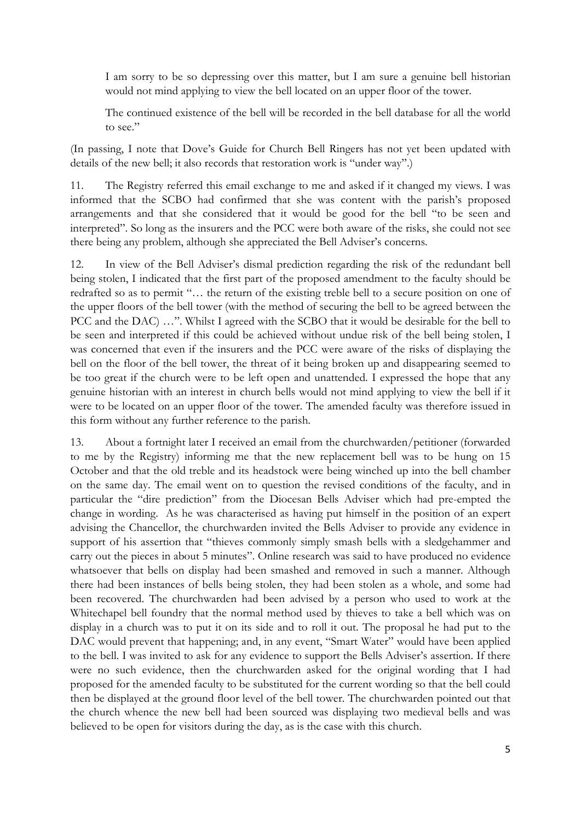I am sorry to be so depressing over this matter, but I am sure a genuine bell historian would not mind applying to view the bell located on an upper floor of the tower.

The continued existence of the bell will be recorded in the bell database for all the world to see."

(In passing, I note that Dove's Guide for Church Bell Ringers has not yet been updated with details of the new bell; it also records that restoration work is "under way".)

11. The Registry referred this email exchange to me and asked if it changed my views. I was informed that the SCBO had confirmed that she was content with the parish's proposed arrangements and that she considered that it would be good for the bell "to be seen and interpreted". So long as the insurers and the PCC were both aware of the risks, she could not see there being any problem, although she appreciated the Bell Adviser's concerns.

12. In view of the Bell Adviser's dismal prediction regarding the risk of the redundant bell being stolen, I indicated that the first part of the proposed amendment to the faculty should be redrafted so as to permit "… the return of the existing treble bell to a secure position on one of the upper floors of the bell tower (with the method of securing the bell to be agreed between the PCC and the DAC) …". Whilst I agreed with the SCBO that it would be desirable for the bell to be seen and interpreted if this could be achieved without undue risk of the bell being stolen, I was concerned that even if the insurers and the PCC were aware of the risks of displaying the bell on the floor of the bell tower, the threat of it being broken up and disappearing seemed to be too great if the church were to be left open and unattended. I expressed the hope that any genuine historian with an interest in church bells would not mind applying to view the bell if it were to be located on an upper floor of the tower. The amended faculty was therefore issued in this form without any further reference to the parish.

13. About a fortnight later I received an email from the churchwarden/petitioner (forwarded to me by the Registry) informing me that the new replacement bell was to be hung on 15 October and that the old treble and its headstock were being winched up into the bell chamber on the same day. The email went on to question the revised conditions of the faculty, and in particular the "dire prediction" from the Diocesan Bells Adviser which had pre-empted the change in wording. As he was characterised as having put himself in the position of an expert advising the Chancellor, the churchwarden invited the Bells Adviser to provide any evidence in support of his assertion that "thieves commonly simply smash bells with a sledgehammer and carry out the pieces in about 5 minutes". Online research was said to have produced no evidence whatsoever that bells on display had been smashed and removed in such a manner. Although there had been instances of bells being stolen, they had been stolen as a whole, and some had been recovered. The churchwarden had been advised by a person who used to work at the Whitechapel bell foundry that the normal method used by thieves to take a bell which was on display in a church was to put it on its side and to roll it out. The proposal he had put to the DAC would prevent that happening; and, in any event, "Smart Water" would have been applied to the bell. I was invited to ask for any evidence to support the Bells Adviser's assertion. If there were no such evidence, then the churchwarden asked for the original wording that I had proposed for the amended faculty to be substituted for the current wording so that the bell could then be displayed at the ground floor level of the bell tower. The churchwarden pointed out that the church whence the new bell had been sourced was displaying two medieval bells and was believed to be open for visitors during the day, as is the case with this church.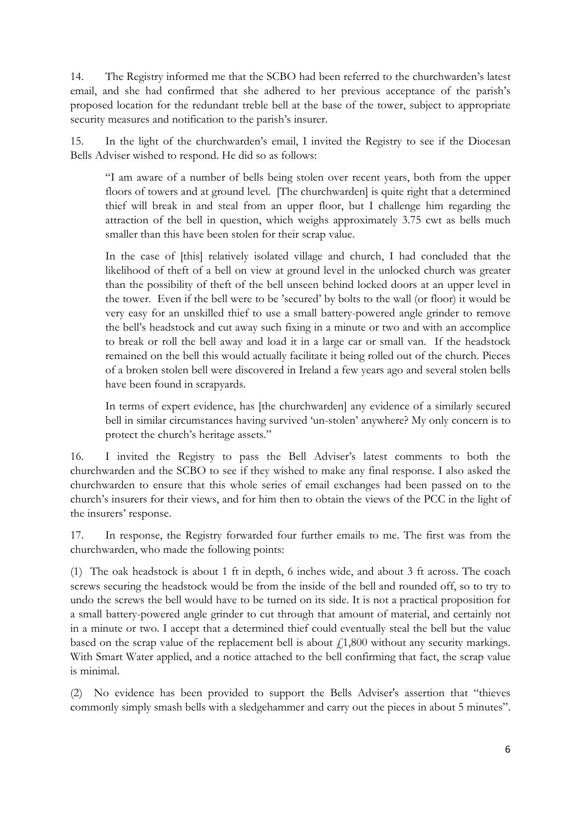14. The Registry informed me that the SCBO had been referred to the churchwarden's latest email, and she had confirmed that she adhered to her previous acceptance of the parish's proposed location for the redundant treble bell at the base of the tower, subject to appropriate security measures and notification to the parish's insurer.

15. In the light of the churchwarden's email, I invited the Registry to see if the Diocesan Bells Adviser wished to respond. He did so as follows:

"I am aware of a number of bells being stolen over recent years, both from the upper floors of towers and at ground level. [The churchwarden] is quite right that a determined thief will break in and steal from an upper floor, but I challenge him regarding the attraction of the bell in question, which weighs approximately 3.75 cwt as bells much smaller than this have been stolen for their scrap value.

In the case of [this] relatively isolated village and church, I had concluded that the likelihood of theft of a bell on view at ground level in the unlocked church was greater than the possibility of theft of the bell unseen behind locked doors at an upper level in the tower. Even if the bell were to be 'secured' by bolts to the wall (or floor) it would be very easy for an unskilled thief to use a small battery-powered angle grinder to remove the bell's headstock and cut away such fixing in a minute or two and with an accomplice to break or roll the bell away and load it in a large car or small van. If the headstock remained on the bell this would actually facilitate it being rolled out of the church. Pieces of a broken stolen bell were discovered in Ireland a few years ago and several stolen bells have been found in scrapyards.

In terms of expert evidence, has [the churchwarden] any evidence of a similarly secured bell in similar circumstances having survived 'un-stolen' anywhere? My only concern is to protect the church's heritage assets."

16. I invited the Registry to pass the Bell Adviser's latest comments to both the churchwarden and the SCBO to see if they wished to make any final response. I also asked the churchwarden to ensure that this whole series of email exchanges had been passed on to the church's insurers for their views, and for him then to obtain the views of the PCC in the light of the insurers' response.

17. In response, the Registry forwarded four further emails to me. The first was from the churchwarden, who made the following points:

(1) The oak headstock is about 1 ft in depth, 6 inches wide, and about 3 ft across. The coach screws securing the headstock would be from the inside of the bell and rounded off, so to try to undo the screws the bell would have to be turned on its side. It is not a practical proposition for a small battery-powered angle grinder to cut through that amount of material, and certainly not in a minute or two. I accept that a determined thief could eventually steal the bell but the value based on the scrap value of the replacement bell is about  $\ell$ 1,800 without any security markings. With Smart Water applied, and a notice attached to the bell confirming that fact, the scrap value is minimal.

(2) No evidence has been provided to support the Bells Adviser's assertion that "thieves commonly simply smash bells with a sledgehammer and carry out the pieces in about 5 minutes".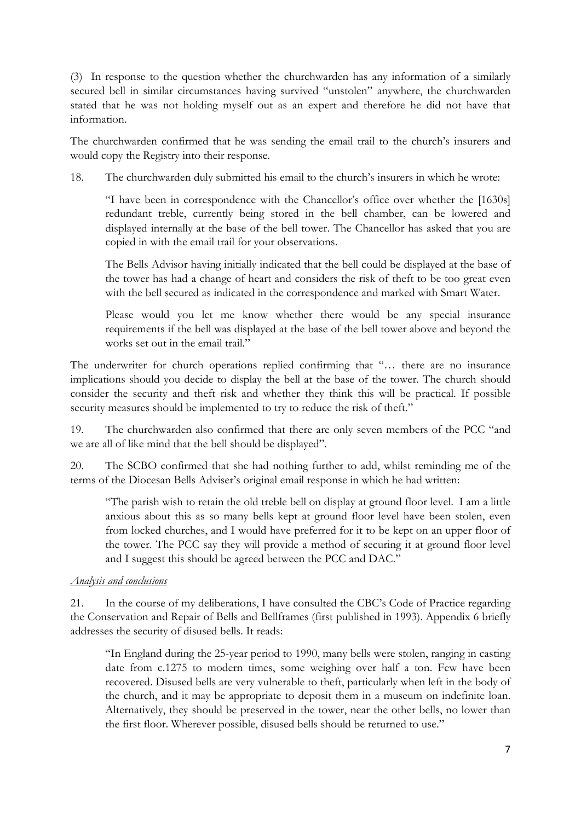(3) In response to the question whether the churchwarden has any information of a similarly secured bell in similar circumstances having survived "unstolen" anywhere, the churchwarden stated that he was not holding myself out as an expert and therefore he did not have that information.

The churchwarden confirmed that he was sending the email trail to the church's insurers and would copy the Registry into their response.

18. The churchwarden duly submitted his email to the church's insurers in which he wrote:

"I have been in correspondence with the Chancellor's office over whether the [1630s] redundant treble, currently being stored in the bell chamber, can be lowered and displayed internally at the base of the bell tower. The Chancellor has asked that you are copied in with the email trail for your observations.

The Bells Advisor having initially indicated that the bell could be displayed at the base of the tower has had a change of heart and considers the risk of theft to be too great even with the bell secured as indicated in the correspondence and marked with Smart Water.

Please would you let me know whether there would be any special insurance requirements if the bell was displayed at the base of the bell tower above and beyond the works set out in the email trail."

The underwriter for church operations replied confirming that "… there are no insurance implications should you decide to display the bell at the base of the tower. The church should consider the security and theft risk and whether they think this will be practical. If possible security measures should be implemented to try to reduce the risk of theft."

19. The churchwarden also confirmed that there are only seven members of the PCC "and we are all of like mind that the bell should be displayed".

20. The SCBO confirmed that she had nothing further to add, whilst reminding me of the terms of the Diocesan Bells Adviser's original email response in which he had written:

"The parish wish to retain the old treble bell on display at ground floor level. I am a little anxious about this as so many bells kept at ground floor level have been stolen, even from locked churches, and I would have preferred for it to be kept on an upper floor of the tower. The PCC say they will provide a method of securing it at ground floor level and I suggest this should be agreed between the PCC and DAC."

#### *Analysis and conclusions*

21. In the course of my deliberations, I have consulted the CBC's Code of Practice regarding the Conservation and Repair of Bells and Bellframes (first published in 1993). Appendix 6 briefly addresses the security of disused bells. It reads:

"In England during the 25-year period to 1990, many bells were stolen, ranging in casting date from c.1275 to modern times, some weighing over half a ton. Few have been recovered. Disused bells are very vulnerable to theft, particularly when left in the body of the church, and it may be appropriate to deposit them in a museum on indefinite loan. Alternatively, they should be preserved in the tower, near the other bells, no lower than the first floor. Wherever possible, disused bells should be returned to use."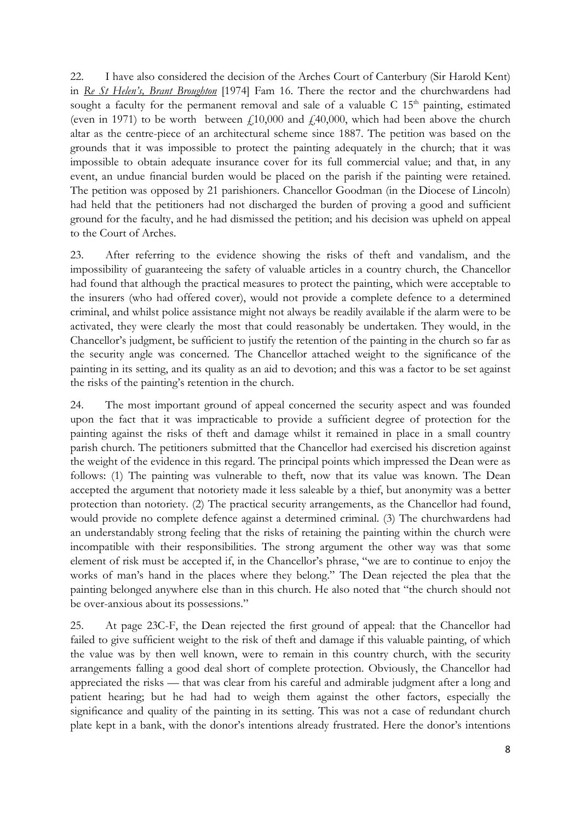22. I have also considered the decision of the Arches Court of Canterbury (Sir Harold Kent) in *Re St Helen's, Brant Broughton* [1974] Fam 16. There the rector and the churchwardens had sought a faculty for the permanent removal and sale of a valuable  $C$  15<sup>th</sup> painting, estimated (even in 1971) to be worth between  $f<sub>1</sub>10,000$  and  $f<sub>2</sub>40,000$ , which had been above the church altar as the centre-piece of an architectural scheme since 1887. The petition was based on the grounds that it was impossible to protect the painting adequately in the church; that it was impossible to obtain adequate insurance cover for its full commercial value; and that, in any event, an undue financial burden would be placed on the parish if the painting were retained. The petition was opposed by 21 parishioners. Chancellor Goodman (in the Diocese of Lincoln) had held that the petitioners had not discharged the burden of proving a good and sufficient ground for the faculty, and he had dismissed the petition; and his decision was upheld on appeal to the Court of Arches.

23. After referring to the evidence showing the risks of theft and vandalism, and the impossibility of guaranteeing the safety of valuable articles in a country church, the Chancellor had found that although the practical measures to protect the painting, which were acceptable to the insurers (who had offered cover), would not provide a complete defence to a determined criminal, and whilst police assistance might not always be readily available if the alarm were to be activated, they were clearly the most that could reasonably be undertaken. They would, in the Chancellor's judgment, be sufficient to justify the retention of the painting in the church so far as the security angle was concerned. The Chancellor attached weight to the significance of the painting in its setting, and its quality as an aid to devotion; and this was a factor to be set against the risks of the painting's retention in the church.

24. The most important ground of appeal concerned the security aspect and was founded upon the fact that it was impracticable to provide a sufficient degree of protection for the painting against the risks of theft and damage whilst it remained in place in a small country parish church. The petitioners submitted that the Chancellor had exercised his discretion against the weight of the evidence in this regard. The principal points which impressed the Dean were as follows: (1) The painting was vulnerable to theft, now that its value was known. The Dean accepted the argument that notoriety made it less saleable by a thief, but anonymity was a better protection than notoriety. (2) The practical security arrangements, as the Chancellor had found, would provide no complete defence against a determined criminal. (3) The churchwardens had an understandably strong feeling that the risks of retaining the painting within the church were incompatible with their responsibilities. The strong argument the other way was that some element of risk must be accepted if, in the Chancellor's phrase, "we are to continue to enjoy the works of man's hand in the places where they belong." The Dean rejected the plea that the painting belonged anywhere else than in this church. He also noted that "the church should not be over-anxious about its possessions."

25. At page 23C-F, the Dean rejected the first ground of appeal: that the Chancellor had failed to give sufficient weight to the risk of theft and damage if this valuable painting, of which the value was by then well known, were to remain in this country church, with the security arrangements falling a good deal short of complete protection. Obviously, the Chancellor had appreciated the risks — that was clear from his careful and admirable judgment after a long and patient hearing; but he had had to weigh them against the other factors, especially the significance and quality of the painting in its setting. This was not a case of redundant church plate kept in a bank, with the donor's intentions already frustrated. Here the donor's intentions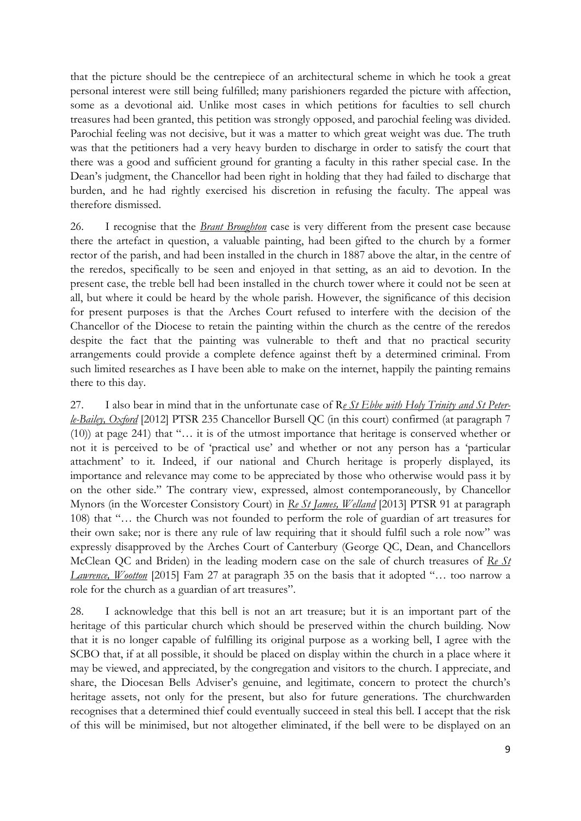that the picture should be the centrepiece of an architectural scheme in which he took a great personal interest were still being fulfilled; many parishioners regarded the picture with affection, some as a devotional aid. Unlike most cases in which petitions for faculties to sell church treasures had been granted, this petition was strongly opposed, and parochial feeling was divided. Parochial feeling was not decisive, but it was a matter to which great weight was due. The truth was that the petitioners had a very heavy burden to discharge in order to satisfy the court that there was a good and sufficient ground for granting a faculty in this rather special case. In the Dean's judgment, the Chancellor had been right in holding that they had failed to discharge that burden, and he had rightly exercised his discretion in refusing the faculty. The appeal was therefore dismissed.

26. I recognise that the *Brant Broughton* case is very different from the present case because there the artefact in question, a valuable painting, had been gifted to the church by a former rector of the parish, and had been installed in the church in 1887 above the altar, in the centre of the reredos, specifically to be seen and enjoyed in that setting, as an aid to devotion. In the present case, the treble bell had been installed in the church tower where it could not be seen at all, but where it could be heard by the whole parish. However, the significance of this decision for present purposes is that the Arches Court refused to interfere with the decision of the Chancellor of the Diocese to retain the painting within the church as the centre of the reredos despite the fact that the painting was vulnerable to theft and that no practical security arrangements could provide a complete defence against theft by a determined criminal. From such limited researches as I have been able to make on the internet, happily the painting remains there to this day.

27. I also bear in mind that in the unfortunate case of R*e St Ebbe with Holy Trinity and St Peterle-Bailey, Oxford* [2012] PTSR 235 Chancellor Bursell QC (in this court) confirmed (at paragraph 7 (10)) at page 241) that "… it is of the utmost importance that heritage is conserved whether or not it is perceived to be of 'practical use' and whether or not any person has a 'particular attachment' to it. Indeed, if our national and Church heritage is properly displayed, its importance and relevance may come to be appreciated by those who otherwise would pass it by on the other side." The contrary view, expressed, almost contemporaneously, by Chancellor Mynors (in the Worcester Consistory Court) in *Re St James, Welland* [2013] PTSR 91 at paragraph 108) that "… the Church was not founded to perform the role of guardian of art treasures for their own sake; nor is there any rule of law requiring that it should fulfil such a role now" was expressly disapproved by the Arches Court of Canterbury (George QC, Dean, and Chancellors McClean QC and Briden) in the leading modern case on the sale of church treasures of *Re St Lawrence, Wootton* [2015] Fam 27 at paragraph 35 on the basis that it adopted "… too narrow a role for the church as a guardian of art treasures".

28. I acknowledge that this bell is not an art treasure; but it is an important part of the heritage of this particular church which should be preserved within the church building. Now that it is no longer capable of fulfilling its original purpose as a working bell, I agree with the SCBO that, if at all possible, it should be placed on display within the church in a place where it may be viewed, and appreciated, by the congregation and visitors to the church. I appreciate, and share, the Diocesan Bells Adviser's genuine, and legitimate, concern to protect the church's heritage assets, not only for the present, but also for future generations. The churchwarden recognises that a determined thief could eventually succeed in steal this bell. I accept that the risk of this will be minimised, but not altogether eliminated, if the bell were to be displayed on an